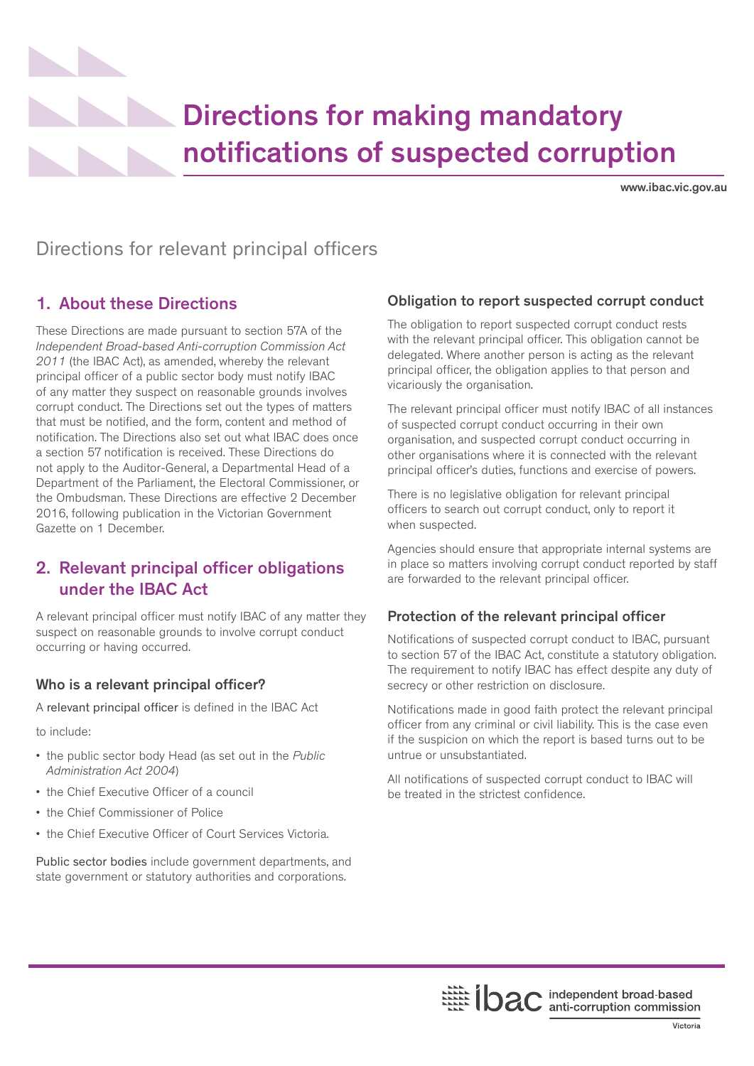# Directions for making mandatory notifications of suspected corruption

www.ibac.vic.gov.au

# Directions for relevant principal officers

# 1. About these Directions

These Directions are made pursuant to section 57A of the *Independent Broad-based Anti-corruption Commission Act 2011* (the IBAC Act), as amended, whereby the relevant principal officer of a public sector body must notify IBAC of any matter they suspect on reasonable grounds involves corrupt conduct. The Directions set out the types of matters that must be notified, and the form, content and method of notification. The Directions also set out what IBAC does once a section 57 notification is received. These Directions do not apply to the Auditor-General, a Departmental Head of a Department of the Parliament, the Electoral Commissioner, or the Ombudsman. These Directions are effective 2 December 2016, following publication in the Victorian Government Gazette on 1 December.

# 2. Relevant principal officer obligations under the IBAC Act

A relevant principal officer must notify IBAC of any matter they suspect on reasonable grounds to involve corrupt conduct occurring or having occurred.

## Who is a relevant principal officer?

A relevant principal officer is defined in the IBAC Act

to include:

- the public sector body Head (as set out in the *Public Administration Act 2004*)
- the Chief Executive Officer of a council
- the Chief Commissioner of Police
- the Chief Executive Officer of Court Services Victoria.

Public sector bodies include government departments, and state government or statutory authorities and corporations.

## Obligation to report suspected corrupt conduct

The obligation to report suspected corrupt conduct rests with the relevant principal officer. This obligation cannot be delegated. Where another person is acting as the relevant principal officer, the obligation applies to that person and vicariously the organisation.

The relevant principal officer must notify IBAC of all instances of suspected corrupt conduct occurring in their own organisation, and suspected corrupt conduct occurring in other organisations where it is connected with the relevant principal officer's duties, functions and exercise of powers.

There is no legislative obligation for relevant principal officers to search out corrupt conduct, only to report it when suspected.

Agencies should ensure that appropriate internal systems are in place so matters involving corrupt conduct reported by staff are forwarded to the relevant principal officer.

### Protection of the relevant principal officer

Notifications of suspected corrupt conduct to IBAC, pursuant to section 57 of the IBAC Act, constitute a statutory obligation. The requirement to notify IBAC has effect despite any duty of secrecy or other restriction on disclosure.

Notifications made in good faith protect the relevant principal officer from any criminal or civil liability. This is the case even if the suspicion on which the report is based turns out to be untrue or unsubstantiated.

All notifications of suspected corrupt conduct to IBAC will be treated in the strictest confidence.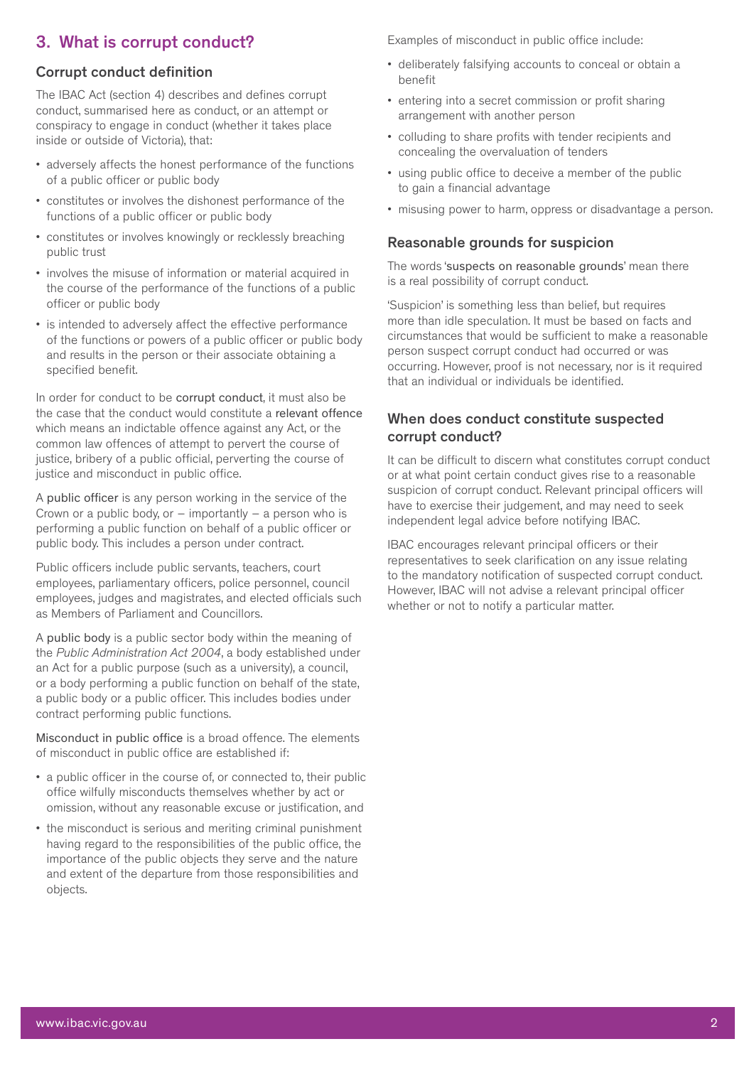# 3. What is corrupt conduct?

#### Corrupt conduct definition

The IBAC Act (section 4) describes and defines corrupt conduct, summarised here as conduct, or an attempt or conspiracy to engage in conduct (whether it takes place inside or outside of Victoria), that:

- adversely affects the honest performance of the functions of a public officer or public body
- constitutes or involves the dishonest performance of the functions of a public officer or public body
- constitutes or involves knowingly or recklessly breaching public trust
- involves the misuse of information or material acquired in the course of the performance of the functions of a public officer or public body
- is intended to adversely affect the effective performance of the functions or powers of a public officer or public body and results in the person or their associate obtaining a specified benefit.

In order for conduct to be corrupt conduct, it must also be the case that the conduct would constitute a relevant offence which means an indictable offence against any Act, or the common law offences of attempt to pervert the course of justice, bribery of a public official, perverting the course of justice and misconduct in public office.

A public officer is any person working in the service of the Crown or a public body, or  $-$  importantly  $-$  a person who is performing a public function on behalf of a public officer or public body. This includes a person under contract.

Public officers include public servants, teachers, court employees, parliamentary officers, police personnel, council employees, judges and magistrates, and elected officials such as Members of Parliament and Councillors.

A public body is a public sector body within the meaning of the *Public Administration Act 2004*, a body established under an Act for a public purpose (such as a university), a council, or a body performing a public function on behalf of the state, a public body or a public officer. This includes bodies under contract performing public functions.

Misconduct in public office is a broad offence. The elements of misconduct in public office are established if:

- a public officer in the course of, or connected to, their public office wilfully misconducts themselves whether by act or omission, without any reasonable excuse or justification, and
- the misconduct is serious and meriting criminal punishment having regard to the responsibilities of the public office, the importance of the public objects they serve and the nature and extent of the departure from those responsibilities and objects.

Examples of misconduct in public office include:

- deliberately falsifying accounts to conceal or obtain a benefit
- entering into a secret commission or profit sharing arrangement with another person
- colluding to share profits with tender recipients and concealing the overvaluation of tenders
- using public office to deceive a member of the public to gain a financial advantage
- misusing power to harm, oppress or disadvantage a person.

#### Reasonable grounds for suspicion

The words 'suspects on reasonable grounds' mean there is a real possibility of corrupt conduct.

'Suspicion' is something less than belief, but requires more than idle speculation. It must be based on facts and circumstances that would be sufficient to make a reasonable person suspect corrupt conduct had occurred or was occurring. However, proof is not necessary, nor is it required that an individual or individuals be identified.

#### When does conduct constitute suspected corrupt conduct?

It can be difficult to discern what constitutes corrupt conduct or at what point certain conduct gives rise to a reasonable suspicion of corrupt conduct. Relevant principal officers will have to exercise their judgement, and may need to seek independent legal advice before notifying IBAC.

IBAC encourages relevant principal officers or their representatives to seek clarification on any issue relating to the mandatory notification of suspected corrupt conduct. However, IBAC will not advise a relevant principal officer whether or not to notify a particular matter.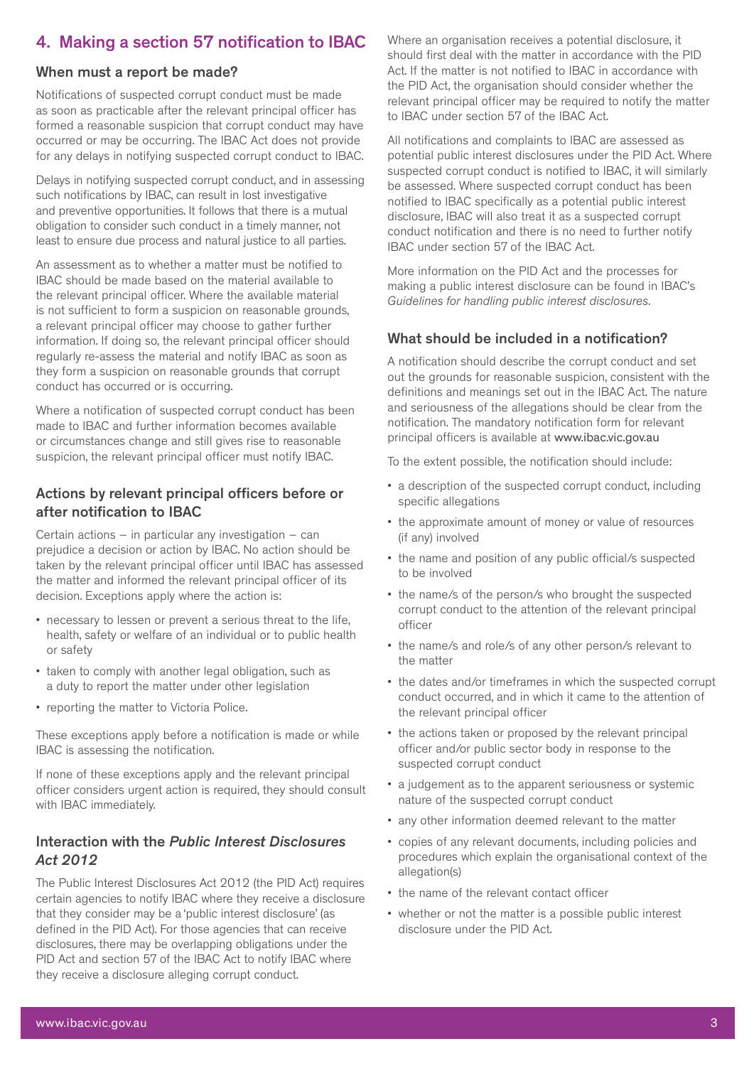# 4. Making a section 57 notification to IBAC

#### When must a report be made?

Notifications of suspected corrupt conduct must be made as soon as practicable after the relevant principal officer has formed a reasonable suspicion that corrupt conduct may have occurred or may be occurring. The IBAC Act does not provide for any delays in notifying suspected corrupt conduct to IBAC.

Delays in notifying suspected corrupt conduct, and in assessing such notifications by IBAC, can result in lost investigative and preventive opportunities. It follows that there is a mutual obligation to consider such conduct in a timely manner, not least to ensure due process and natural justice to all parties.

An assessment as to whether a matter must be notified to IBAC should be made based on the material available to the relevant principal officer. Where the available material is not sufficient to form a suspicion on reasonable grounds, a relevant principal officer may choose to gather further information. If doing so, the relevant principal officer should regularly re-assess the material and notify IBAC as soon as they form a suspicion on reasonable grounds that corrupt conduct has occurred or is occurring.

Where a notification of suspected corrupt conduct has been made to IBAC and further information becomes available or circumstances change and still gives rise to reasonable suspicion, the relevant principal officer must notify IBAC.

#### Actions by relevant principal officers before or after notification to IBAC

Certain actions – in particular any investigation – can prejudice a decision or action by IBAC. No action should be taken by the relevant principal officer until IBAC has assessed the matter and informed the relevant principal officer of its decision. Exceptions apply where the action is:

- necessary to lessen or prevent a serious threat to the life, health, safety or welfare of an individual or to public health or safety
- taken to comply with another legal obligation, such as a duty to report the matter under other legislation
- reporting the matter to Victoria Police.

These exceptions apply before a notification is made or while IBAC is assessing the notification.

If none of these exceptions apply and the relevant principal officer considers urgent action is required, they should consult with IBAC immediately.

#### Interaction with the *Public Interest Disclosures Act 2012*

The Public Interest Disclosures Act 2012 (the PID Act) requires certain agencies to notify IBAC where they receive a disclosure that they consider may be a 'public interest disclosure' (as defined in the PID Act). For those agencies that can receive disclosures, there may be overlapping obligations under the PID Act and section 57 of the IBAC Act to notify IBAC where they receive a disclosure alleging corrupt conduct.

Where an organisation receives a potential disclosure, it should first deal with the matter in accordance with the PID Act. If the matter is not notified to IBAC in accordance with the PID Act, the organisation should consider whether the relevant principal officer may be required to notify the matter to IBAC under section 57 of the IBAC Act.

All notifications and complaints to IBAC are assessed as potential public interest disclosures under the PID Act. Where suspected corrupt conduct is notified to IBAC, it will similarly be assessed. Where suspected corrupt conduct has been notified to IBAC specifically as a potential public interest disclosure, IBAC will also treat it as a suspected corrupt conduct notification and there is no need to further notify IBAC under section 57 of the IBAC Act.

More information on the PID Act and the processes for making a public interest disclosure can be found in IBAC's *Guidelines for handling public interest disclosures*.

#### What should be included in a notification?

A notification should describe the corrupt conduct and set out the grounds for reasonable suspicion, consistent with the definitions and meanings set out in the IBAC Act. The nature and seriousness of the allegations should be clear from the notification. The mandatory notification form for relevant principal officers is available at www.ibac.vic.gov.au

To the extent possible, the notification should include:

- a description of the suspected corrupt conduct, including specific allegations
- the approximate amount of money or value of resources (if any) involved
- the name and position of any public official/s suspected to be involved
- the name/s of the person/s who brought the suspected corrupt conduct to the attention of the relevant principal officer
- the name/s and role/s of any other person/s relevant to the matter
- the dates and/or timeframes in which the suspected corrupt conduct occurred, and in which it came to the attention of the relevant principal officer
- the actions taken or proposed by the relevant principal officer and/or public sector body in response to the suspected corrupt conduct
- a judgement as to the apparent seriousness or systemic nature of the suspected corrupt conduct
- any other information deemed relevant to the matter
- copies of any relevant documents, including policies and procedures which explain the organisational context of the allegation(s)
- the name of the relevant contact officer
- whether or not the matter is a possible public interest disclosure under the PID Act.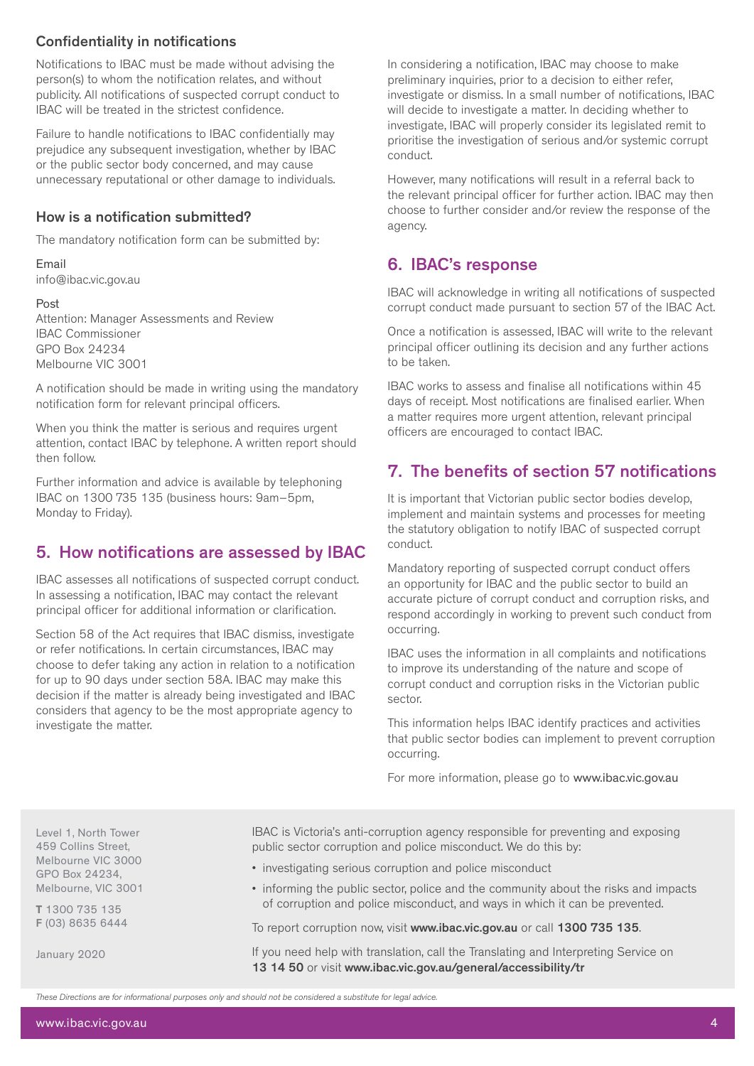## Confidentiality in notifications

Notifications to IBAC must be made without advising the person(s) to whom the notification relates, and without publicity. All notifications of suspected corrupt conduct to IBAC will be treated in the strictest confidence.

Failure to handle notifications to IBAC confidentially may prejudice any subsequent investigation, whether by IBAC or the public sector body concerned, and may cause unnecessary reputational or other damage to individuals.

#### How is a notification submitted?

The mandatory notification form can be submitted by:

Email info@ibac.vic.gov.au

#### Post

Attention: Manager Assessments and Review IBAC Commissioner GPO Box 24234 Melbourne VIC 3001

A notification should be made in writing using the mandatory notification form for relevant principal officers.

When you think the matter is serious and requires urgent attention, contact IBAC by telephone. A written report should then follow.

Further information and advice is available by telephoning IBAC on 1300 735 135 (business hours: 9am–5pm, Monday to Friday).

## 5. How notifications are assessed by IBAC

IBAC assesses all notifications of suspected corrupt conduct. In assessing a notification, IBAC may contact the relevant principal officer for additional information or clarification.

Section 58 of the Act requires that IBAC dismiss, investigate or refer notifications. In certain circumstances, IBAC may choose to defer taking any action in relation to a notification for up to 90 days under section 58A. IBAC may make this decision if the matter is already being investigated and IBAC considers that agency to be the most appropriate agency to investigate the matter.

In considering a notification, IBAC may choose to make preliminary inquiries, prior to a decision to either refer, investigate or dismiss. In a small number of notifications, IBAC will decide to investigate a matter. In deciding whether to investigate, IBAC will properly consider its legislated remit to prioritise the investigation of serious and/or systemic corrupt conduct.

However, many notifications will result in a referral back to the relevant principal officer for further action. IBAC may then choose to further consider and/or review the response of the agency.

## 6. IBAC's response

IBAC will acknowledge in writing all notifications of suspected corrupt conduct made pursuant to section 57 of the IBAC Act.

Once a notification is assessed, IBAC will write to the relevant principal officer outlining its decision and any further actions to be taken.

IBAC works to assess and finalise all notifications within 45 days of receipt. Most notifications are finalised earlier. When a matter requires more urgent attention, relevant principal officers are encouraged to contact IBAC.

## 7. The benefits of section 57 notifications

It is important that Victorian public sector bodies develop, implement and maintain systems and processes for meeting the statutory obligation to notify IBAC of suspected corrupt conduct.

Mandatory reporting of suspected corrupt conduct offers an opportunity for IBAC and the public sector to build an accurate picture of corrupt conduct and corruption risks, and respond accordingly in working to prevent such conduct from occurring.

IBAC uses the information in all complaints and notifications to improve its understanding of the nature and scope of corrupt conduct and corruption risks in the Victorian public sector.

This information helps IBAC identify practices and activities that public sector bodies can implement to prevent corruption occurring.

For more information, please go to www.ibac.vic.gov.au

Level 1, North Tower 459 Collins Street, Melbourne VIC 3000 GPO Box 24234, Melbourne, VIC 3001

T 1300 735 135 F (03) 8635 6444

January 2020

IBAC is Victoria's anti-corruption agency responsible for preventing and exposing public sector corruption and police misconduct. We do this by:

- investigating serious corruption and police misconduct
- informing the public sector, police and the community about the risks and impacts of corruption and police misconduct, and ways in which it can be prevented.

To report corruption now, visit www.ibac.vic.gov.au or call 1300 735 135.

If you need help with translation, call the Translating and Interpreting Service on 13 14 50 or visit www.ibac.vic.gov.au/general/accessibility/tr

*These Directions are for informational purposes only and should not be considered a substitute for legal advice.*